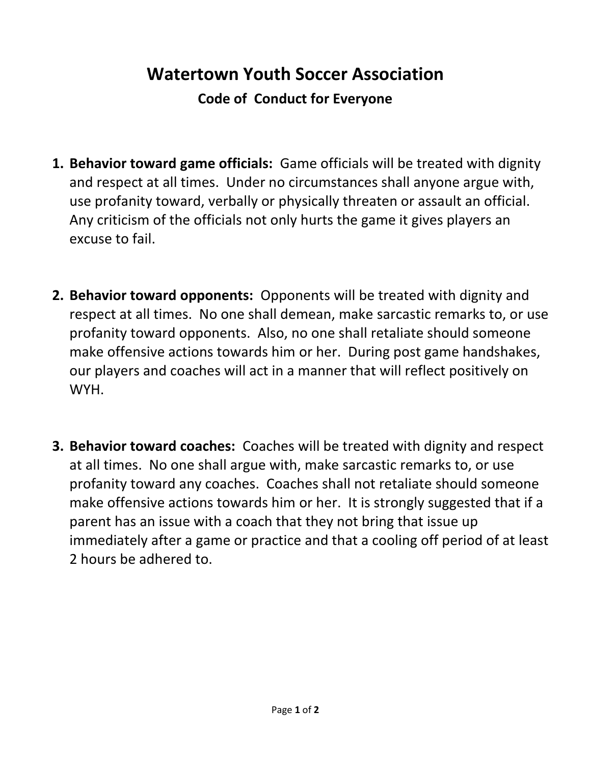## **Watertown Youth Soccer Association**

**Code of Conduct for Everyone**

- **1. Behavior toward game officials:** Game officials will be treated with dignity and respect at all times. Under no circumstances shall anyone argue with, use profanity toward, verbally or physically threaten or assault an official. Any criticism of the officials not only hurts the game it gives players an excuse to fail.
- **2. Behavior toward opponents:** Opponents will be treated with dignity and respect at all times. No one shall demean, make sarcastic remarks to, or use profanity toward opponents. Also, no one shall retaliate should someone make offensive actions towards him or her. During post game handshakes, our players and coaches will act in a manner that will reflect positively on WYH.
- **3. Behavior toward coaches:** Coaches will be treated with dignity and respect at all times. No one shall argue with, make sarcastic remarks to, or use profanity toward any coaches. Coaches shall not retaliate should someone make offensive actions towards him or her. It is strongly suggested that if a parent has an issue with a coach that they not bring that issue up immediately after a game or practice and that a cooling off period of at least 2 hours be adhered to.